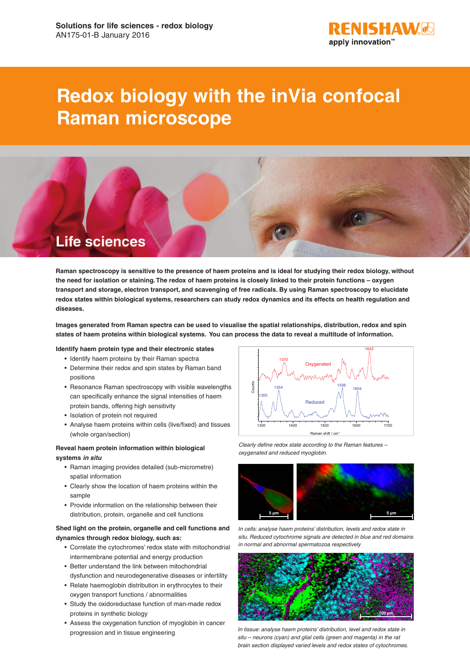

# **Redox biology with the inVia confocal Raman microscope**



**Raman spectroscopy is sensitive to the presence of haem proteins and is ideal for studying their redox biology, without the need for isolation or staining. The redox of haem proteins is closely linked to their protein functions – oxygen transport and storage, electron transport, and scavenging of free radicals. By using Raman spectroscopy to elucidate redox states within biological systems, researchers can study redox dynamics and its effects on health regulation and diseases.**

**Images generated from Raman spectra can be used to visualise the spatial relationships, distribution, redox and spin states of haem proteins within biological systems. You can process the data to reveal a multitude of information.**

#### **Identify haem protein type and their electronic states**

- Identify haem proteins by their Raman spectra
- Determine their redox and spin states by Raman band positions
- Resonance Raman spectroscopy with visible wavelengths can specifically enhance the signal intensities of haem protein bands, offering high sensitivity
- Isolation of protein not required
- Analyse haem proteins within cells (live/fixed) and tissues (whole organ/section)

## **Reveal haem protein information within biological systems** *in situ*

- Raman imaging provides detailed (sub-micrometre) spatial information
- Clearly show the location of haem proteins within the sample
- Provide information on the relationship between their distribution, protein, organelle and cell functions

## **Shed light on the protein, organelle and cell functions and dynamics through redox biology, such as:**

- Correlate the cytochromes' redox state with mitochondrial intermembrane potential and energy production
- Better understand the link between mitochondrial dysfunction and neurodegenerative diseases or infertility
- Relate haemoglobin distribution in erythrocytes to their oxygen transport functions / abnormalities
- Study the oxidoreductase function of man-made redox proteins in synthetic biology
- Assess the oxygenation function of myoglobin in cancer



*Clearly define redox state according to the Raman features – oxygenated and reduced myoglobin.*



*In cells: analyse haem proteins' distribution, levels and redox state in situ. Reduced cytochrome signals are detected in blue and red domains in normal and abnormal spermatozoa respectively*



progression and in tissue engineering *In tissue: analyse haem proteins' distribution, level and redox state in situ – neurons (cyan) and glial cells (green and magenta) in the rat brain section displayed varied levels and redox states of cytochromes.*